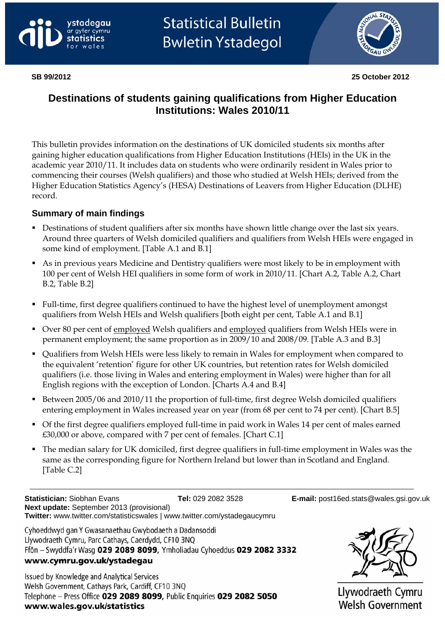



**SB 99/2012 25 October 2012** 

# **Destinations of students gaining qualifications from Higher Education Institutions: Wales 2010/11**

This bulletin provides information on the destinations of UK domiciled students six months after gaining higher education qualifications from Higher Education Institutions (HEIs) in the UK in the academic year 2010/11. It includes data on students who were ordinarily resident in Wales prior to commencing their courses (Welsh qualifiers) and those who studied at Welsh HEIs; derived from the Higher Education Statistics Agency's (HESA) Destinations of Leavers from Higher Education (DLHE) record.

## **Summary of main findings**

- Destinations of student qualifiers after six months have shown little change over the last six years. Around three quarters of Welsh domiciled qualifiers and qualifiers from Welsh HEIs were engaged in some kind of employment. [Table A.1 and B.1]
- As in previous years Medicine and Dentistry qualifiers were most likely to be in employment with 100 per cent of Welsh HEI qualifiers in some form of work in 2010/11. [Chart A.2, Table A.2, Chart B.2, Table B.2]
- Full-time, first degree qualifiers continued to have the highest level of unemployment amongst qualifiers from Welsh HEIs and Welsh qualifiers [both eight per cent, Table A.1 and B.1]
- Over 80 per cent of employed Welsh qualifiers and employed qualifiers from Welsh HEIs were in permanent employment; the same proportion as in 2009/10 and 2008/09. [Table A.3 and B.3]
- Qualifiers from Welsh HEIs were less likely to remain in Wales for employment when compared to the equivalent 'retention' figure for other UK countries, but retention rates for Welsh domiciled qualifiers (i.e. those living in Wales and entering employment in Wales) were higher than for all English regions with the exception of London. [Charts A.4 and B.4]
- Between 2005/06 and 2010/11 the proportion of full-time, first degree Welsh domiciled qualifiers entering employment in Wales increased year on year (from 68 per cent to 74 per cent). [Chart B.5]
- Of the first degree qualifiers employed full-time in paid work in Wales 14 per cent of males earned £30,000 or above, compared with 7 per cent of females. [Chart C.1]
- The median salary for UK domiciled, first degree qualifiers in full-time employment in Wales was the same as the corresponding figure for Northern Ireland but lower than in Scotland and England. [Table C.2]

**Statistician:** Siobhan Evans **Tel:** 029 2082 3528 **E-mail:** [post16ed.stats@wales.gsi.gov.uk](mailto:post16ed.stats@wales.gsi.gov.uk)  **Next update:** September 2013 (provisional) **Twitter:** www.twitter.com/statisticswales | www.twitter.com/ystadegaucymru

Cyhoeddwyd gan Y Gwasanaethau Gwybodaeth a Dadansoddi Llywodraeth Cymru, Parc Cathays, Caerdydd, CF10 3NQ Ffôn - Swyddfa'r Wasg 029 2089 8099, Ymholiadau Cyhoeddus 029 2082 3332 www.cymru.gov.uk/ystadegau

Issued by Knowledge and Analytical Services Welsh Government, Cathays Park, Cardiff, CF10 3NQ Telephone - Press Office 029 2089 8099, Public Enquiries 029 2082 5050 www.wales.gov.uk/statistics



Llywodraeth Cymru **Welsh Government**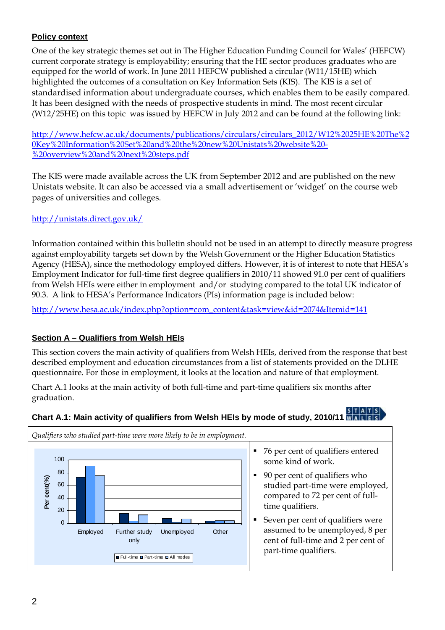#### **Policy context**

One of the key strategic themes set out in The Higher Education Funding Council for Wales' (HEFCW) current corporate strategy is employability; ensuring that the HE sector produces graduates who are equipped for the world of work. In June 2011 HEFCW published a circular (W11/15HE) which highlighted the outcomes of a consultation on Key Information Sets (KIS). The KIS is a set of standardised information about undergraduate courses, which enables them to be easily compared. It has been designed with the needs of prospective students in mind. The most recent circular (W12/25HE) on this topic was issued by HEFCW in July 2012 and can be found at the following link:

[http://www.hefcw.ac.uk/documents/publications/circulars/circulars\\_2012/W12%2025HE%20The%2](http://www.hefcw.ac.uk/documents/publications/circulars/circulars_2012/W12%2025HE%20The%20Key%20Information%20Set%20and%20the%20new%20Unistats%20website%20-%20overview%20and%20next%20steps.pdf) [0Key%20Information%20Set%20and%20the%20new%20Unistats%20website%20-](http://www.hefcw.ac.uk/documents/publications/circulars/circulars_2012/W12%2025HE%20The%20Key%20Information%20Set%20and%20the%20new%20Unistats%20website%20-%20overview%20and%20next%20steps.pdf) [%20overview%20and%20next%20steps.pdf](http://www.hefcw.ac.uk/documents/publications/circulars/circulars_2012/W12%2025HE%20The%20Key%20Information%20Set%20and%20the%20new%20Unistats%20website%20-%20overview%20and%20next%20steps.pdf)

The KIS were made available across the UK from September 2012 and are published on the new Unistats website. It can also be accessed via a small advertisement or 'widget' on the course web pages of universities and colleges.

#### <http://unistats.direct.gov.uk/>

Information contained within this bulletin should not be used in an attempt to directly measure progress against employability targets set down by the Welsh Government or the Higher Education Statistics Agency (HESA), since the methodology employed differs. However, it is of interest to note that HESA's Employment Indicator for full-time first degree qualifiers in 2010/11 showed 91.0 per cent of qualifiers from Welsh HEIs were either in employment and/or studying compared to the total UK indicator of 90.3. A link to HESA's Performance Indicators (PIs) information page is included below:

[http://www.hesa.ac.uk/index.php?option=com\\_content&task=view&id=2074&Itemid=141](http://www.hesa.ac.uk/index.php?option=com_content&task=view&id=2074&Itemid=141)

#### **Section A – Qualifiers from Welsh HEIs**

This section covers the main activity of qualifiers from Welsh HEIs, derived from the response that best described employment and education circumstances from a list of statements provided on the DLHE questionnaire. For those in employment, it looks at the location and nature of that employment.

Chart A.1 looks at the main activity of both full-time and part-time qualifiers six months after graduation.

# **Chart A.1: Main activity of qualifiers from Welsh HEIs by mode of study, 2010/1[1](http://www.statswales.wales.gov.uk/TableViewer/tableView.aspx?ReportId=2596)**

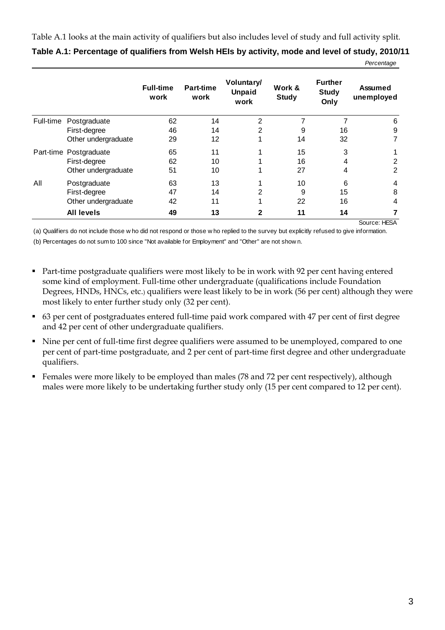Table A.1 looks at the main activity of qualifiers but also includes level of study and full activity split.

|           |                        | <b>Full-time</b><br>work | <b>Part-time</b><br>work | Voluntary/<br><b>Unpaid</b><br>work | Work &<br><b>Study</b> | <b>Further</b><br><b>Study</b><br>Only | Assumed<br>unemployed |
|-----------|------------------------|--------------------------|--------------------------|-------------------------------------|------------------------|----------------------------------------|-----------------------|
| Full-time | Postgraduate           | 62                       | 14                       | 2                                   |                        | 7                                      | 6                     |
|           | First-degree           | 46                       | 14                       | 2                                   | 9                      | 16                                     | 9                     |
|           | Other undergraduate    | 29                       | 12                       |                                     | 14                     | 32                                     | 7                     |
|           | Part-time Postgraduate | 65                       | 11                       |                                     | 15                     | 3                                      |                       |
|           | First-degree           | 62                       | 10                       |                                     | 16                     | 4                                      | 2                     |
|           | Other undergraduate    | 51                       | 10                       |                                     | 27                     | 4                                      | 2                     |
| All       | Postgraduate           | 63                       | 13                       | 1                                   | 10                     | 6                                      | 4                     |
|           | First-degree           | 47                       | 14                       | 2                                   | 9                      | 15                                     | 8                     |
|           | Other undergraduate    | 42                       | 11                       | 4                                   | 22                     | 16                                     | 4                     |
|           | <b>All levels</b>      | 49                       | 13                       | 2                                   | 11                     | 14                                     |                       |
|           |                        |                          |                          |                                     |                        |                                        | Source: HESA          |

**Table A.1: Percentage of qualifiers from Welsh HEIs by activity, mode and level of study, 2010/11** 

*Percentage*

(a) Qualifiers do not include those w ho did not respond or those w ho replied to the survey but explicitly refused to give information.

(b) Percentages do not sum to 100 since "Not available for Employment" and "Other" are not show n.

- Part-time postgraduate qualifiers were most likely to be in work with 92 per cent having entered some kind of employment. Full-time other undergraduate (qualifications include Foundation Degrees, HNDs, HNCs, etc.) qualifiers were least likely to be in work (56 per cent) although they were most likely to enter further study only (32 per cent).
- <sup>63</sup> per cent of postgraduates entered full-time paid work compared with 47 per cent of first degree and 42 per cent of other undergraduate qualifiers.
- Nine per cent of full-time first degree qualifiers were assumed to be unemployed, compared to one per cent of part-time postgraduate, and 2 per cent of part-time first degree and other undergraduate qualifiers.
- Females were more likely to be employed than males (78 and 72 per cent respectively), although males were more likely to be undertaking further study only (15 per cent compared to 12 per cent).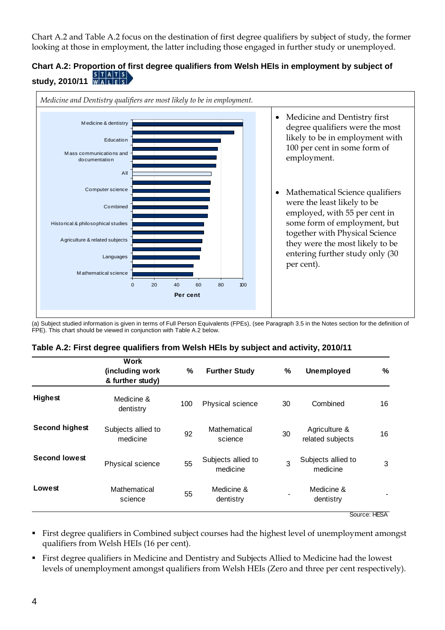Chart A.2 and Table A.2 focus on the destination of first degree qualifiers by subject of study, the former looking at those in employment, the latter including those engaged in further study or unemployed.

# **Chart A.2: Proportion of first degree qualifiers from Welsh HEIs in employment by subject of study, 2010/11 wallERS**



(a) Subject studied information is given in terms of Full Person Equivalents (FPEs), (see Paragraph 3.5 in the Notes section for the definition of FPE). This chart should be viewed in conjunction with Table A.2 below.

|                       | Work<br>(including work<br>& further study) | %   | <b>Further Study</b>           | %  | <b>Unemployed</b>                 | %  |
|-----------------------|---------------------------------------------|-----|--------------------------------|----|-----------------------------------|----|
| <b>Highest</b>        | Medicine &<br>dentistry                     | 100 | Physical science               | 30 | Combined                          | 16 |
| <b>Second highest</b> | Subjects allied to<br>medicine              | 92  | Mathematical<br>science        | 30 | Agriculture &<br>related subjects | 16 |
| <b>Second lowest</b>  | Physical science                            | 55  | Subjects allied to<br>medicine | 3  | Subjects allied to<br>medicine    | 3  |
| Lowest                | Mathematical<br>science                     | 55  | Medicine &<br>dentistry        |    | Medicine &<br>dentistry           |    |

| Table A.2: First degree qualifiers from Welsh HEIs by subject and activity, 2010/11 |  |  |
|-------------------------------------------------------------------------------------|--|--|

 First degree qualifiers in Combined subject courses had the highest level of unemployment amongst qualifiers from Welsh HEIs (16 per cent).

 First degree qualifiers in Medicine and Dentistry and Subjects Allied to Medicine had the lowest levels of unemployment amongst qualifiers from Welsh HEIs (Zero and three per cent respectively).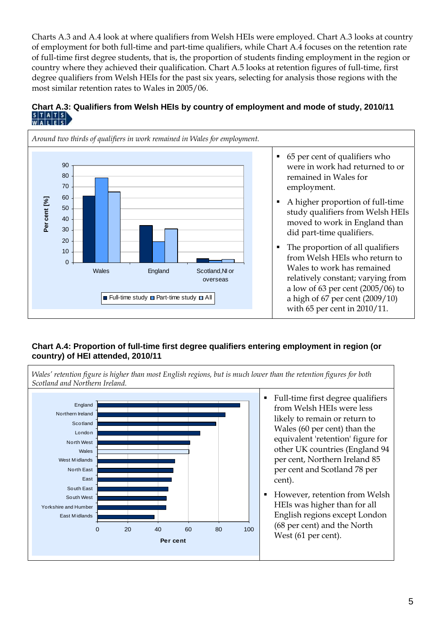Charts A.3 and A.4 look at where qualifiers from Welsh HEIs were employed. Chart A.3 looks at country of employment for both full-time and part-time qualifiers, while Chart A.4 focuses on the retention rate of full-time first degree students, that is, the proportion of students finding employment in the region or country where they achieved their qualification. Chart A.5 looks at retention figures of full-time, first degree qualifiers from Welsh HEIs for the past six years, selecting for analysis those regions with the most similar retention rates to Wales in 2005/06.

# **Chart A.3: Qualifiers from Welsh HEIs by country of employment and mode of study, 2010/11**



#### **Chart A.4: Proportion of full-time first degree qualifiers entering employment in region (or country) of HEI attended, 2010/11**

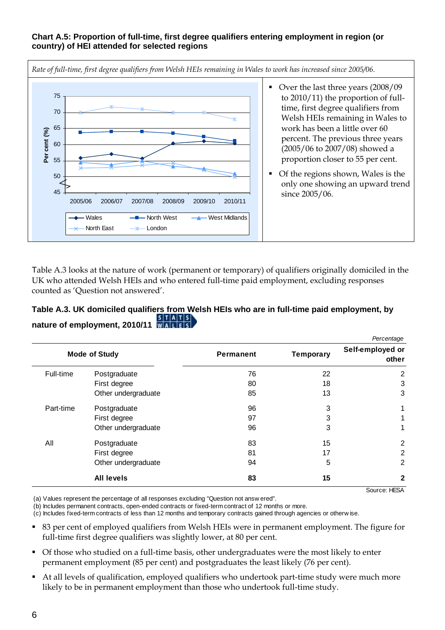#### **Chart A.5: Proportion of full-time, first degree qualifiers entering employment in region (or country) of HEI attended for selected regions**



Table A.3 looks at the nature of work (permanent or temporary) of qualifiers originally domiciled in the UK who attended Welsh HEIs and who entered full-time paid employment, excluding responses counted as 'Question not answered'.

# **Table A.3. UK domiciled qualifi[ers from We](http://www.statswales.wales.gov.uk/TableViewer/tableView.aspx?ReportId=25213)lsh HEIs who are in full-time paid employment, by nature of employment, 2010/11**

|           |                      |                  |                  | Percentage                |
|-----------|----------------------|------------------|------------------|---------------------------|
|           | <b>Mode of Study</b> | <b>Permanent</b> | <b>Temporary</b> | Self-employed or<br>other |
| Full-time | Postgraduate         | 76               | 22               | $\overline{2}$            |
|           | First degree         | 80               | 18               | 3                         |
|           | Other undergraduate  | 85               | 13               | 3                         |
| Part-time | Postgraduate         | 96               | 3                | $\mathbf{1}$              |
|           | First degree         | 97               | 3                | 1                         |
|           | Other undergraduate  | 96               | 3                | 1                         |
| All       | Postgraduate         | 83               | 15               | $\overline{2}$            |
|           | First degree         | 81               | 17               | $\overline{2}$            |
|           | Other undergraduate  | 94               | 5                | $\overline{2}$            |
|           | <b>All levels</b>    | 83               | 15               | $\mathbf{2}$              |
|           |                      |                  |                  | Source: HFSA              |

(a) Values represent the percentage of all responses excluding "Question not answ ered".

(b) Includes permanent contracts, open-ended contracts or fixed-term contract of 12 months or more.

(c) Includes fixed-term contracts of less than 12 months and temporary contracts gained through agencies or otherw ise.

- 83 per cent of employed qualifiers from Welsh HEIs were in permanent employment. The figure for full-time first degree qualifiers was slightly lower, at 80 per cent.
- Of those who studied on a full-time basis, other undergraduates were the most likely to enter permanent employment (85 per cent) and postgraduates the least likely (76 per cent).
- At all levels of qualification, employed qualifiers who undertook part-time study were much more likely to be in permanent employment than those who undertook full-time study.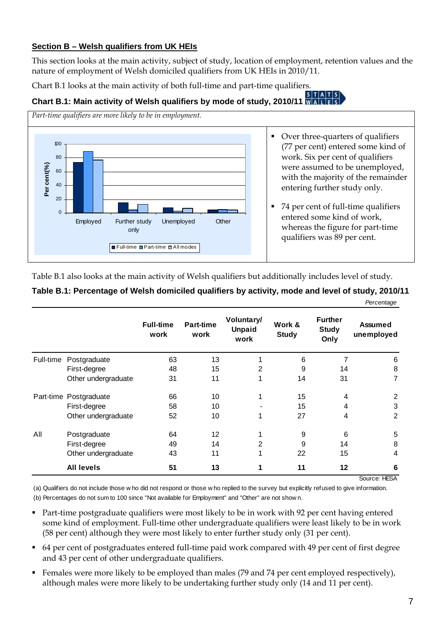#### **Section B – Welsh qualifiers from UK HEIs**

This section looks at the main activity, subject of study, location of employment, retention values and the nature of employment of Welsh domiciled qualifiers from UK HEIs in 2010/11.

Chart B.1 looks at the main activity of both full-time and part-time qualifie[rs.](http://www.statswales.wales.gov.uk/TableViewer/tableView.aspx?ReportId=2593) 

#### **Chart B.1: Main activity of Welsh qualifiers by mode of study, 2010/11**



Table B.1 also looks at the main activity of Welsh qualifiers but additionally includes level of study.

# **Table B.1: Percentage of Welsh domiciled qualifiers by activity, mode and level of study, 2010/11**

|           |                        |                          |                          |                                     |                        |                                        | Percentage                   |
|-----------|------------------------|--------------------------|--------------------------|-------------------------------------|------------------------|----------------------------------------|------------------------------|
|           |                        | <b>Full-time</b><br>work | <b>Part-time</b><br>work | Voluntary/<br><b>Unpaid</b><br>work | Work &<br><b>Study</b> | <b>Further</b><br><b>Study</b><br>Only | <b>Assumed</b><br>unemployed |
| Full-time | Postgraduate           | 63                       | 13                       | 1                                   | 6                      | 7                                      | 6                            |
|           | First-degree           | 48                       | 15                       | 2                                   | 9                      | 14                                     | 8                            |
|           | Other undergraduate    | 31                       | 11                       | 1                                   | 14                     | 31                                     | 7                            |
|           | Part-time Postgraduate | 66                       | 10                       | 1                                   | 15                     | 4                                      | 2                            |
|           | First-degree           | 58                       | 10                       |                                     | 15                     | 4                                      | 3                            |
|           | Other undergraduate    | 52                       | 10                       | 1                                   | 27                     | 4                                      | $\overline{2}$               |
| All       | Postgraduate           | 64                       | 12                       | 1                                   | 9                      | 6                                      | 5                            |
|           | First-degree           | 49                       | 14                       | 2                                   | 9                      | 14                                     | 8                            |
|           | Other undergraduate    | 43                       | 11                       | 1                                   | 22                     | 15                                     | 4                            |
|           | <b>All levels</b>      | 51                       | 13                       |                                     | 11                     | 12                                     | 6                            |
|           |                        |                          |                          |                                     |                        |                                        | 1.078A                       |

Source: HESA

(a) Qualifiers do not include those w ho did not respond or those w ho replied to the survey but explicitly refused to give information. (b) Percentages do not sum to 100 since "Not available for Employment" and "Other" are not show n.

- Part-time postgraduate qualifiers were most likely to be in work with 92 per cent having entered some kind of employment. Full-time other undergraduate qualifiers were least likely to be in work (58 per cent) although they were most likely to enter further study only (31 per cent).
- <sup>•</sup> 64 per cent of postgraduates entered full-time paid work compared with 49 per cent of first degree and 43 per cent of other undergraduate qualifiers.
- Females were more likely to be employed than males (79 and 74 per cent employed respectively), although males were more likely to be undertaking further study only (14 and 11 per cent).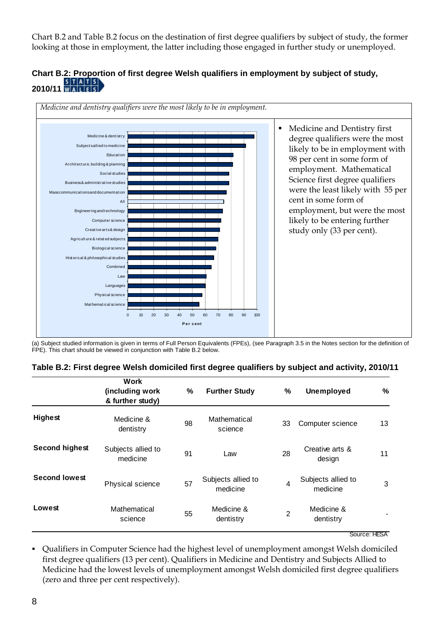Chart B.2 and Table B.2 focus on the destination of first degree qualifiers by subject of study, the former looking at those in employment, the latter including those engaged in further study or unemployed.

# **Chart B[.2: Proportio](http://www.statswales.wales.gov.uk/TableViewer/tableView.aspx?ReportId=25214)n of first degree Welsh qualifiers in employment by subject of study, 2010/11 WALLES**



(a) Subject studied information is given in terms of Full Person Equivalents (FPEs), (see Paragraph 3.5 in the Notes section for the definition of FPE). This chart should be viewed in conjunction with Table B.2 below.

| Table B.2: First degree Welsh domiciled first degree qualifiers by subject and activity, 2010/11 |  |  |  |  |
|--------------------------------------------------------------------------------------------------|--|--|--|--|
|--------------------------------------------------------------------------------------------------|--|--|--|--|

|                       | Work<br>(including work<br>& further study) | %  | <b>Further Study</b>           | ℅              | <b>Unemployed</b>              | %            |
|-----------------------|---------------------------------------------|----|--------------------------------|----------------|--------------------------------|--------------|
| <b>Highest</b>        | Medicine &<br>dentistry                     | 98 | Mathematical<br>science        | 33             | Computer science               | 13           |
| <b>Second highest</b> | Subjects allied to<br>medicine              | 91 | Law                            | 28             | Creative arts &<br>design      | 11           |
| <b>Second lowest</b>  | Physical science                            | 57 | Subjects allied to<br>medicine | $\overline{4}$ | Subjects allied to<br>medicine | 3            |
| Lowest                | Mathematical<br>science                     | 55 | Medicine &<br>dentistry        | $\overline{2}$ | Medicine &<br>dentistry        |              |
|                       |                                             |    |                                |                |                                | Source: HESA |

 Qualifiers in Computer Science had the highest level of unemployment amongst Welsh domiciled first degree qualifiers (13 per cent). Qualifiers in Medicine and Dentistry and Subjects Allied to Medicine had the lowest levels of unemployment amongst Welsh domiciled first degree qualifiers (zero and three per cent respectively).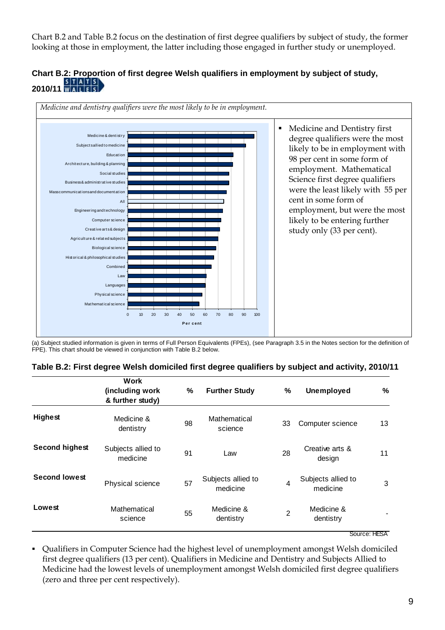Chart B.2 and Table B.2 focus on the destination of first degree qualifiers by subject of study, the former looking at those in employment, the latter including those engaged in further study or unemployed.

# **Chart [B.2: Proportio](http://www.statswales.wales.gov.uk/TableViewer/tableView.aspx?ReportId=25214)n of first degree Welsh qualifiers in employment by subject of study, 2010/11 WALLES**



(a) Subject studied information is given in terms of Full Person Equivalents (FPEs), (see Paragraph 3.5 in the Notes section for the definition of FPE). This chart should be viewed in conjunction with Table B.2 below.

|  | Table B.2: First degree Welsh domiciled first degree qualifiers by subject and activity, 2010/11 |
|--|--------------------------------------------------------------------------------------------------|
|  |                                                                                                  |

|                       | Work<br>(including work<br>& further study) | %  | <b>Further Study</b>           | %              | <b>Unemployed</b>              | %            |
|-----------------------|---------------------------------------------|----|--------------------------------|----------------|--------------------------------|--------------|
| <b>Highest</b>        | Medicine &<br>dentistry                     | 98 | Mathematical<br>science        | 33             | Computer science               | 13           |
| <b>Second highest</b> | Subjects allied to<br>medicine              | 91 | Law                            | 28             | Creative arts &<br>design      | 11           |
| <b>Second lowest</b>  | Physical science                            | 57 | Subjects allied to<br>medicine | $\overline{4}$ | Subjects allied to<br>medicine | 3            |
| Lowest                | Mathematical<br>science                     | 55 | Medicine &<br>dentistry        | $\overline{2}$ | Medicine &<br>dentistry        |              |
|                       |                                             |    |                                |                |                                | Source: HESA |

 Qualifiers in Computer Science had the highest level of unemployment amongst Welsh domiciled first degree qualifiers (13 per cent). Qualifiers in Medicine and Dentistry and Subjects Allied to Medicine had the lowest levels of unemployment amongst Welsh domiciled first degree qualifiers (zero and three per cent respectively).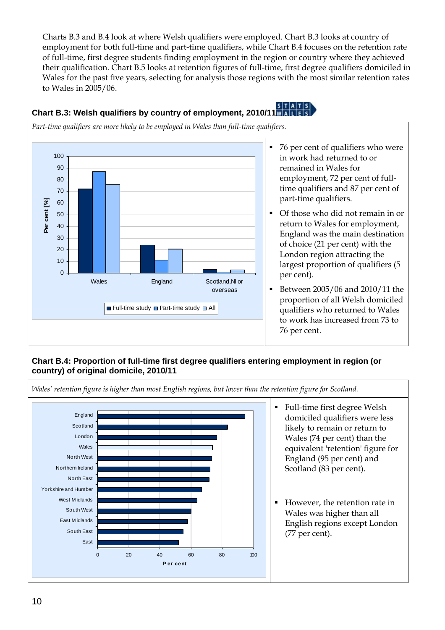Charts B.3 and B.4 look at where Welsh qualifiers were employed. Chart B.3 looks at country of employment for both full-time and part-time qualifiers, while Chart B.4 focuses on the retention rate of full-time, first degree students finding employment in the region or country where they achieved their qualification. Chart B.5 looks at retention figures of full-time, first degree qualifiers domiciled in Wales for the past five years, selecting for analysis those regions with the most similar retention rates to Wales in 2005/06.



# **Chart B.3: Welsh qualifiers by country of employment, 2010/1[1](http://www.statswales.wales.gov.uk/TableViewer/tableView.aspx?ReportId=11215)**

#### **Chart B.4: Proportion of full-time first degree qualifiers entering employment in region (or country) of original domicile, 2010/11**

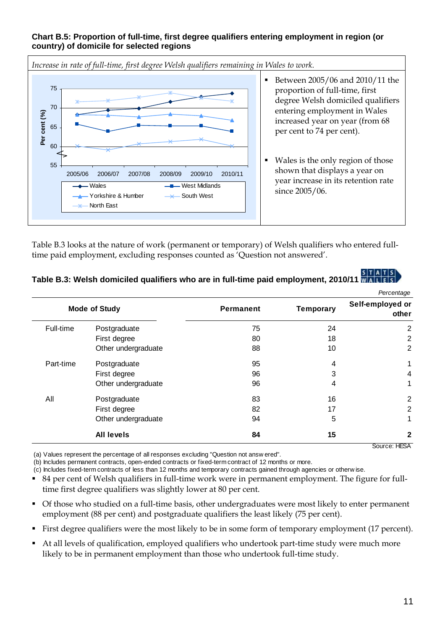#### **Chart B.5: Proportion of full-time, first degree qualifiers entering employment in region (or country) of domicile for selected regions**



Table B.3 looks at the nature of work (permanent or temporary) of Welsh qualifiers who entered fulltime paid employment, excluding responses counted as 'Question not answered'.

| Table B.3: Welsh domiciled qualifiers who are in full-time paid employment, 2010/11 MATTER |  |
|--------------------------------------------------------------------------------------------|--|
|--------------------------------------------------------------------------------------------|--|

|           |                      |                  |                  | Percentage                |
|-----------|----------------------|------------------|------------------|---------------------------|
|           | <b>Mode of Study</b> | <b>Permanent</b> | <b>Temporary</b> | Self-employed or<br>other |
| Full-time | Postgraduate         | 75               | 24               | $\overline{2}$            |
|           | First degree         | 80               | 18               | 2                         |
|           | Other undergraduate  | 88               | 10               | 2                         |
| Part-time | Postgraduate         | 95               | 4                | $\mathbf 1$               |
|           | First degree         | 96               | 3                | 4                         |
|           | Other undergraduate  | 96               | 4                | 1                         |
| All       | Postgraduate         | 83               | 16               | 2                         |
|           | First degree         | 82               | 17               | $\overline{2}$            |
|           | Other undergraduate  | 94               | 5                | 1                         |
|           | <b>All levels</b>    | 84               | 15               | 2                         |
|           |                      |                  |                  | Source: HESA              |

(a) Values represent the percentage of all responses excluding "Question not answ ered".

(b) Includes permanent contracts, open-ended contracts or fixed-term contract of 12 months or more.

(c) Includes fixed-term contracts of less than 12 months and temporary contracts gained through agencies or otherw ise.

 84 per cent of Welsh qualifiers in full-time work were in permanent employment. The figure for fulltime first degree qualifiers was slightly lower at 80 per cent.

- Of those who studied on a full-time basis, other undergraduates were most likely to enter permanent employment (88 per cent) and postgraduate qualifiers the least likely (75 per cent).
- First degree qualifiers were the most likely to be in some form of temporary employment (17 percent).
- At all levels of qualification, employed qualifiers who undertook part-time study were much more likely to be in permanent employment than those who undertook full-time study.

and the first line first.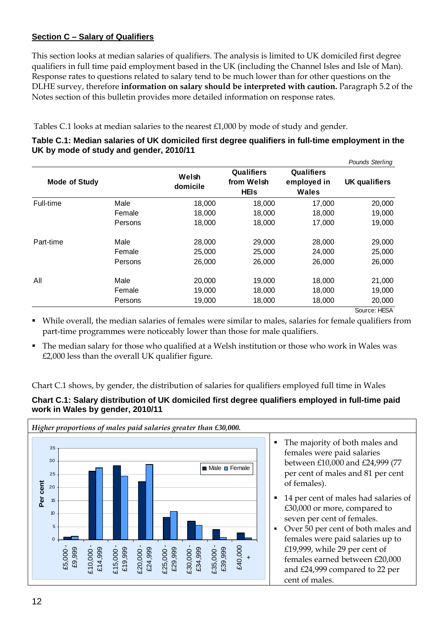#### **Section C – Salary of Qualifiers**

This section looks at median salaries of qualifiers. The analysis is limited to UK domiciled first degree qualifiers in full time paid employment based in the UK (including the Channel Isles and Isle of Man). Response rates to questions related to salary tend to be much lower than for other questions on the DLHE survey, therefore **information on salary should be interpreted with caution.** Paragraph 5.2 of the Notes section of this bulletin provides more detailed information on response rates.

Tables C.1 looks at median salaries to the nearest £1,000 by mode of study and gender.

|                      |         |                   |                                         |                                    | <b>Pounds Sterling</b> |
|----------------------|---------|-------------------|-----------------------------------------|------------------------------------|------------------------|
| <b>Mode of Study</b> |         | Welsh<br>domicile | Qualifiers<br>from Welsh<br><b>HEIs</b> | Qualifiers<br>employed in<br>Wales | <b>UK qualifiers</b>   |
| Full-time            | Male    | 18,000            | 18,000                                  | 17,000                             | 20,000                 |
|                      | Female  | 18,000            | 18,000                                  | 18,000                             | 19,000                 |
|                      | Persons | 18,000            | 18,000                                  | 17,000                             | 19,000                 |
| Part-time            | Male    | 28,000            | 29,000                                  | 28,000                             | 29,000                 |
|                      | Female  | 25,000            | 25,000                                  | 24,000                             | 25,000                 |
|                      | Persons | 26,000            | 26,000                                  | 26,000                             | 26,000                 |
| All                  | Male    | 20,000            | 19,000                                  | 18,000                             | 21,000                 |
|                      | Female  | 19,000            | 18,000                                  | 18,000                             | 19,000                 |
|                      | Persons | 19,000            | 18,000                                  | 18,000                             | 20,000                 |
|                      |         |                   |                                         |                                    | Source: HFSA           |

**Table C.1: Median salaries of UK domiciled first degree qualifiers in full-time employment in the UK by mode of study and gender, 2010/11** 

 While overall, the median salaries of females were similar to males, salaries for female qualifiers from part-time programmes were noticeably lower than those for male qualifiers.

 The median salary for those who qualified at a Welsh institution or those who work in Wales was £2,000 less than the overall UK qualifier figure.

Chart C.1 shows, by gender, the distribution of salaries for qualifiers employed full time in Wales

#### **Chart C.1: Salary distribution of UK domiciled first degree qualifiers employed in full-time paid work in Wales by gender, 2010/11**

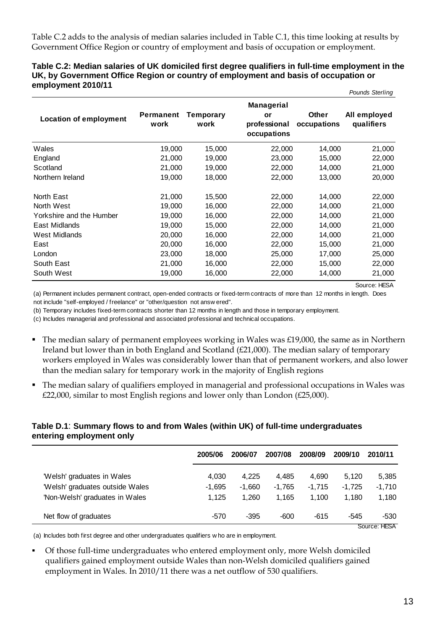Table C.2 adds to the analysis of median salaries included in Table C.1, this time looking at results by Government Office Region or country of employment and basis of occupation or employment.

#### **Table C.2: Median salaries of UK domiciled first degree qualifiers in full-time employment in the UK, by Government Office Region or country of employment and basis of occupation or employment 2010/11**  *Pounds Sterling*

|                               |                          |                          |                                                        |                             | , vanus otoning            |
|-------------------------------|--------------------------|--------------------------|--------------------------------------------------------|-----------------------------|----------------------------|
| <b>Location of employment</b> | <b>Permanent</b><br>work | <b>Temporary</b><br>work | <b>Managerial</b><br>or<br>professional<br>occupations | <b>Other</b><br>occupations | All employed<br>qualifiers |
| Wales                         | 19,000                   | 15,000                   | 22,000                                                 | 14,000                      | 21,000                     |
| England                       | 21,000                   | 19,000                   | 23,000                                                 | 15,000                      | 22,000                     |
| Scotland                      | 21,000                   | 19,000                   | 22,000                                                 | 14,000                      | 21,000                     |
| Northern Ireland              | 19,000                   | 18,000                   | 22,000                                                 | 13,000                      | 20,000                     |
| North East                    | 21,000                   | 15,500                   | 22,000                                                 | 14,000                      | 22,000                     |
| North West                    | 19,000                   | 16,000                   | 22,000                                                 | 14,000                      | 21,000                     |
| Yorkshire and the Humber      | 19,000                   | 16,000                   | 22,000                                                 | 14,000                      | 21,000                     |
| East Midlands                 | 19,000                   | 15,000                   | 22,000                                                 | 14,000                      | 21,000                     |
| West Midlands                 | 20,000                   | 16,000                   | 22,000                                                 | 14,000                      | 21,000                     |
| East                          | 20,000                   | 16,000                   | 22,000                                                 | 15,000                      | 21,000                     |
| London                        | 23,000                   | 18,000                   | 25,000                                                 | 17,000                      | 25,000                     |
| South East                    | 21,000                   | 16,000                   | 22,000                                                 | 15,000                      | 22,000                     |
| South West                    | 19,000                   | 16,000                   | 22,000                                                 | 14,000                      | 21,000                     |

Source: HESA

(a) Permanent includes permanent contract, open-ended contracts or fixed-term contracts of more than 12 months in length. Does not include "self-employed / freelance" or "other/question not answ ered".

(b) Temporary includes fixed-term contracts shorter than 12 months in length and those in temporary employment.

(c) Includes managerial and professional and associated professional and technical occupations.

- $\blacksquare$  The median salary of permanent employees working in Wales was £19,000, the same as in Northern Ireland but lower than in both England and Scotland (£21,000). The median salary of temporary workers employed in Wales was considerably lower than that of permanent workers, and also lower than the median salary for temporary work in the majority of English regions
- The median salary of qualifiers employed in managerial and professional occupations in Wales was  $£22,000$ , similar to most English regions and lower only than London (£25,000).

#### **Table D.1**: **Summary flows to and from Wales (within UK) of full-time undergraduates entering employment only**

|                                 | 2005/06  | 2006/07  | 2007/08  | 2008/09  | 2009/10  | 2010/11      |
|---------------------------------|----------|----------|----------|----------|----------|--------------|
| 'Welsh' graduates in Wales      | 4.030    | 4.225    | 4.485    | 4.690    | 5.120    | 5,385        |
| 'Welsh' graduates outside Wales | $-1.695$ | $-1.660$ | $-1.765$ | $-1.715$ | $-1.725$ | $-1,710$     |
| 'Non-Welsh' graduates in Wales  | 1,125    | 1.260    | 1.165    | 1.100    | 1.180    | 1,180        |
| Net flow of graduates           | $-570$   | $-395$   | $-600$   | $-615$   | -545     | -530         |
|                                 |          |          |          |          |          | Source: HESA |

(a) Includes both first degree and other undergraduates qualifiers w ho are in employment.

 Of those full-time undergraduates who entered employment only, more Welsh domiciled qualifiers gained employment outside Wales than non-Welsh domiciled qualifiers gained employment in Wales. In 2010/11 there was a net outflow of 530 qualifiers.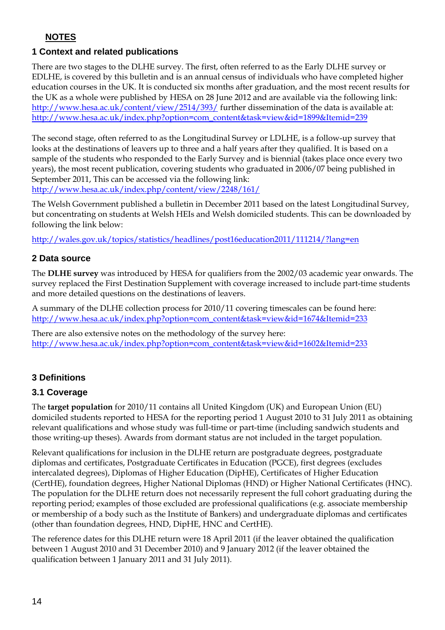# **NOTES**

## **1 Context and related publications**

There are two stages to the DLHE survey. The first, often referred to as the Early DLHE survey or EDLHE, is covered by this bulletin and is an annual census of individuals who have completed higher education courses in the UK. It is conducted six months after graduation, and the most recent results for the UK as a whole were published by HESA on 28 June 2012 and are available via the following link: <http://www.hesa.ac.uk/content/view/2514/393/> further dissemination of the data is available at: [http://www.hesa.ac.uk/index.php?option=com\\_content&task=view&id=1899&Itemid=239](http://www.hesa.ac.uk/index.php?option=com_content&task=view&id=1899&Itemid=239)

The second stage, often referred to as the Longitudinal Survey or LDLHE, is a follow-up survey that looks at the destinations of leavers up to three and a half years after they qualified. It is based on a sample of the students who responded to the Early Survey and is biennial (takes place once every two years), the most recent publication, covering students who graduated in 2006/07 being published in September 2011, This can be accessed via the following link: <http://www.hesa.ac.uk/index.php/content/view/2248/161/>

The Welsh Government published a bulletin in December 2011 based on the latest Longitudinal Survey, but concentrating on students at Welsh HEIs and Welsh domiciled students. This can be downloaded by following the link below:

<http://wales.gov.uk/topics/statistics/headlines/post16education2011/111214/?lang=en>

## **2 Data source**

The **DLHE survey** was introduced by HESA for qualifiers from the 2002/03 academic year onwards. The survey replaced the First Destination Supplement with coverage increased to include part-time students and more detailed questions on the destinations of leavers.

A summary of the DLHE collection process for 2010/11 covering timescales can be found here: [http://www.hesa.ac.uk/index.php?option=com\\_content&task=view&id=1674&Itemid=233](http://www.hesa.ac.uk/index.php?option=com_content&task=view&id=1674&Itemid=233)

There are also extensive notes on the methodology of the survey here: [http://www.hesa.ac.uk/index.php?option=com\\_content&task=view&id=1602&Itemid=233](http://www.hesa.ac.uk/index.php?option=com_content&task=view&id=1602&Itemid=233)

## **3 Definitions**

#### **3.1 Coverage**

The **target population** for 2010/11 contains all United Kingdom (UK) and European Union (EU) domiciled students reported to HESA for the reporting period 1 August 2010 to 31 July 2011 as obtaining relevant qualifications and whose study was full-time or part-time (including sandwich students and those writing-up theses). Awards from dormant status are not included in the target population.

Relevant qualifications for inclusion in the DLHE return are postgraduate degrees, postgraduate diplomas and certificates, Postgraduate Certificates in Education (PGCE), first degrees (excludes intercalated degrees), Diplomas of Higher Education (DipHE), Certificates of Higher Education (CertHE), foundation degrees, Higher National Diplomas (HND) or Higher National Certificates (HNC). The population for the DLHE return does not necessarily represent the full cohort graduating during the reporting period; examples of those excluded are professional qualifications (e.g. associate membership or membership of a body such as the Institute of Bankers) and undergraduate diplomas and certificates (other than foundation degrees, HND, DipHE, HNC and CertHE).

The reference dates for this DLHE return were 18 April 2011 (if the leaver obtained the qualification between 1 August 2010 and 31 December 2010) and 9 January 2012 (if the leaver obtained the qualification between 1 January 2011 and 31 July 2011).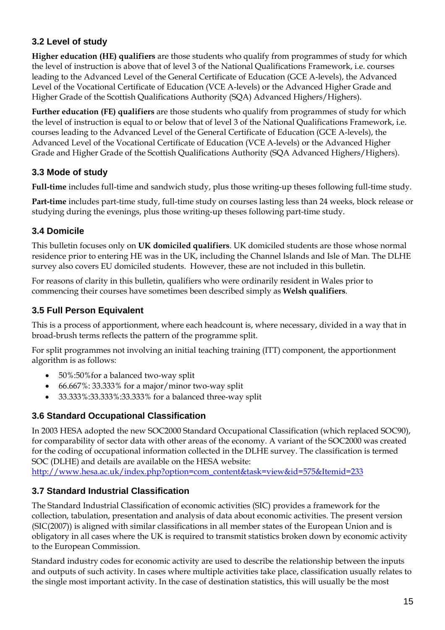# **3.2 Level of study**

**Higher education (HE) qualifiers** are those students who qualify from programmes of study for which the level of instruction is above that of level 3 of the National Qualifications Framework, i.e. courses leading to the Advanced Level of the General Certificate of Education (GCE A-levels), the Advanced Level of the Vocational Certificate of Education (VCE A-levels) or the Advanced Higher Grade and Higher Grade of the Scottish Qualifications Authority (SQA) Advanced Highers/Highers).

**Further education (FE) qualifiers** are those students who qualify from programmes of study for which the level of instruction is equal to or below that of level 3 of the National Qualifications Framework, i.e. courses leading to the Advanced Level of the General Certificate of Education (GCE A-levels), the Advanced Level of the Vocational Certificate of Education (VCE A-levels) or the Advanced Higher Grade and Higher Grade of the Scottish Qualifications Authority (SQA Advanced Highers/Highers).

## **3.3 Mode of study**

**Full-time** includes full-time and sandwich study, plus those writing-up theses following full-time study.

**Part-time** includes part-time study, full-time study on courses lasting less than 24 weeks, block release or studying during the evenings, plus those writing-up theses following part-time study.

# **3.4 Domicile**

This bulletin focuses only on **UK domiciled qualifiers**. UK domiciled students are those whose normal residence prior to entering HE was in the UK, including the Channel Islands and Isle of Man. The DLHE survey also covers EU domiciled students. However, these are not included in this bulletin.

For reasons of clarity in this bulletin, qualifiers who were ordinarily resident in Wales prior to commencing their courses have sometimes been described simply as **Welsh qualifiers**.

# **3.5 Full Person Equivalent**

This is a process of apportionment, where each headcount is, where necessary, divided in a way that in broad-brush terms reflects the pattern of the programme split.

For split programmes not involving an initial teaching training (ITT) component, the apportionment algorithm is as follows:

- 50%:50% for a balanced two-way split
- 66.667%: 33.333% for a major/minor two-way split
- 33.333%:33.333%:33.333% for a balanced three-way split

## **3.6 Standard Occupational Classification**

In 2003 HESA adopted the new SOC2000 Standard Occupational Classification (which replaced SOC90), for comparability of sector data with other areas of the economy. A variant of the SOC2000 was created for the coding of occupational information collected in the DLHE survey. The classification is termed SOC (DLHE) and details are available on the HESA website:

[http://www.hesa.ac.uk/index.php?option=com\\_content&task=view&id=575&Itemid=233](http://www.hesa.ac.uk/index.php?option=com_content&task=view&id=575&Itemid=233)

## **3.7 Standard Industrial Classification**

The Standard Industrial Classification of economic activities (SIC) provides a framework for the collection, tabulation, presentation and analysis of data about economic activities. The present version (SIC(2007)) is aligned with similar classifications in all member states of the European Union and is obligatory in all cases where the UK is required to transmit statistics broken down by economic activity to the European Commission.

Standard industry codes for economic activity are used to describe the relationship between the inputs and outputs of such activity. In cases where multiple activities take place, classification usually relates to the single most important activity. In the case of destination statistics, this will usually be the most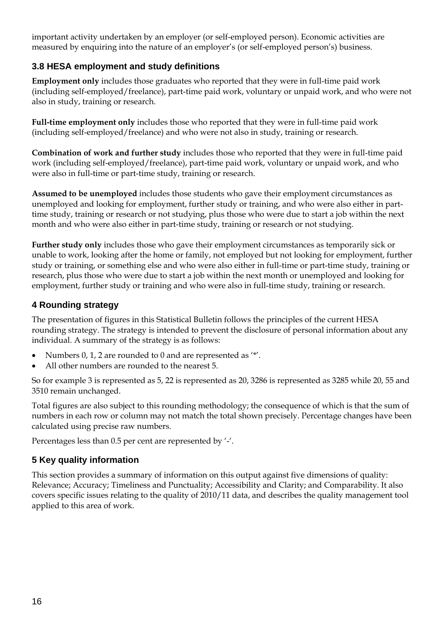important activity undertaken by an employer (or self-employed person). Economic activities are measured by enquiring into the nature of an employer's (or self-employed person's) business.

## **3.8 HESA employment and study definitions**

**Employment only** includes those graduates who reported that they were in full-time paid work (including self-employed/freelance), part-time paid work, voluntary or unpaid work, and who were not also in study, training or research.

**Full-time employment only** includes those who reported that they were in full-time paid work (including self-employed/freelance) and who were not also in study, training or research.

**Combination of work and further study** includes those who reported that they were in full-time paid work (including self-employed/freelance), part-time paid work, voluntary or unpaid work, and who were also in full-time or part-time study, training or research.

**Assumed to be unemployed** includes those students who gave their employment circumstances as unemployed and looking for employment, further study or training, and who were also either in parttime study, training or research or not studying, plus those who were due to start a job within the next month and who were also either in part-time study, training or research or not studying.

**Further study only** includes those who gave their employment circumstances as temporarily sick or unable to work, looking after the home or family, not employed but not looking for employment, further study or training, or something else and who were also either in full-time or part-time study, training or research, plus those who were due to start a job within the next month or unemployed and looking for employment, further study or training and who were also in full-time study, training or research.

## **4 Rounding strategy**

The presentation of figures in this Statistical Bulletin follows the principles of the current HESA rounding strategy. The strategy is intended to prevent the disclosure of personal information about any individual. A summary of the strategy is as follows:

- Numbers 0, 1, 2 are rounded to 0 and are represented as '\*'.
- All other numbers are rounded to the nearest 5.

So for example 3 is represented as 5, 22 is represented as 20, 3286 is represented as 3285 while 20, 55 and 3510 remain unchanged.

Total figures are also subject to this rounding methodology; the consequence of which is that the sum of numbers in each row or column may not match the total shown precisely. Percentage changes have been calculated using precise raw numbers.

Percentages less than 0.5 per cent are represented by '-'.

## **5 Key quality information**

This section provides a summary of information on this output against five dimensions of quality: Relevance; Accuracy; Timeliness and Punctuality; Accessibility and Clarity; and Comparability. It also covers specific issues relating to the quality of 2010/11 data, and describes the quality management tool applied to this area of work.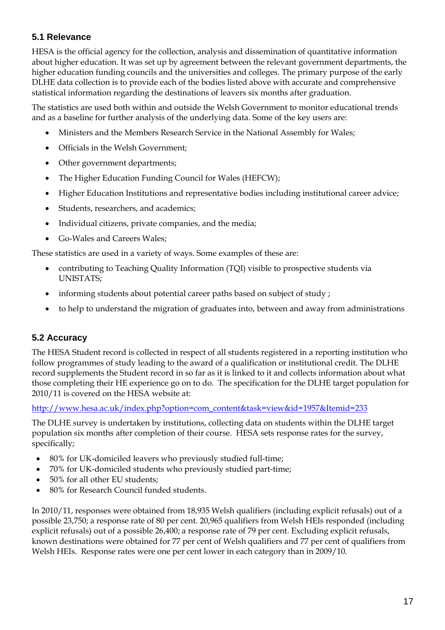## **5.1 Relevance**

HESA is the official agency for the collection, analysis and dissemination of quantitative information about higher education. It was set up by agreement between the relevant government departments, the higher education funding councils and the universities and colleges. The primary purpose of the early DLHE data collection is to provide each of the bodies listed above with accurate and comprehensive statistical information regarding the destinations of leavers six months after graduation.

The statistics are used both within and outside the Welsh Government to monitor educational trends and as a baseline for further analysis of the underlying data. Some of the key users are:

- Ministers and the Members Research Service in the National Assembly for Wales;
- Officials in the Welsh Government;
- Other government departments;
- The Higher Education Funding Council for Wales (HEFCW);
- Higher Education Institutions and representative bodies including institutional career advice;
- Students, researchers, and academics;
- Individual citizens, private companies, and the media;
- Go-Wales and Careers Wales;

These statistics are used in a variety of ways. Some examples of these are:

- contributing to Teaching Quality Information (TQI) visible to prospective students via UNISTATS;
- informing students about potential career paths based on subject of study;
- to help to understand the migration of graduates into, between and away from administrations

## **5.2 Accuracy**

The HESA Student record is collected in respect of all students registered in a reporting institution who follow programmes of study leading to the award of a qualification or institutional credit. The DLHE record supplements the Student record in so far as it is linked to it and collects information about what those completing their HE experience go on to do. The specification for the DLHE target population for 2010/11 is covered on the HESA website at:

[http://www.hesa.ac.uk/index.php?option=com\\_content&task=view&id=1957&Itemid=233](http://www.hesa.ac.uk/index.php?option=com_content&task=view&id=1957&Itemid=233)

The DLHE survey is undertaken by institutions, collecting data on students within the DLHE target population six months after completion of their course. HESA sets response rates for the survey, specifically;

- 80% for UK-domiciled leavers who previously studied full-time;
- 70% for UK-domiciled students who previously studied part-time;
- 50% for all other EU students;
- 80% for Research Council funded students.

In 2010/11, responses were obtained from 18,935 Welsh qualifiers (including explicit refusals) out of a possible 23,750; a response rate of 80 per cent. 20,965 qualifiers from Welsh HEIs responded (including explicit refusals) out of a possible 26,400; a response rate of 79 per cent. Excluding explicit refusals, known destinations were obtained for 77 per cent of Welsh qualifiers and 77 per cent of qualifiers from Welsh HEIs. Response rates were one per cent lower in each category than in 2009/10.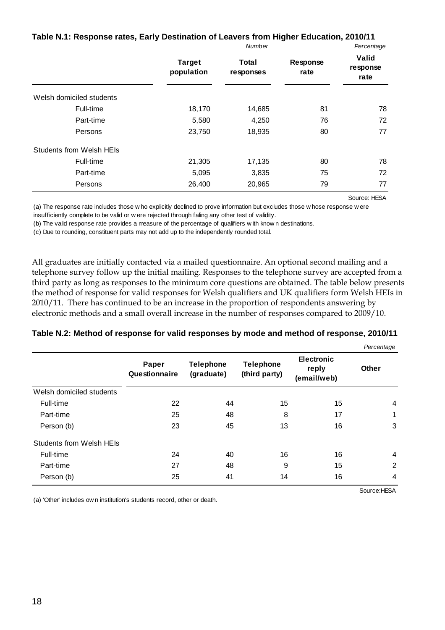|                          |                             | Percentage                |                  |                           |
|--------------------------|-----------------------------|---------------------------|------------------|---------------------------|
|                          | <b>Target</b><br>population | <b>Total</b><br>responses | Response<br>rate | Valid<br>response<br>rate |
| Welsh domiciled students |                             |                           |                  |                           |
| Full-time                | 18,170                      | 14,685                    | 81               | 78                        |
| Part-time                | 5,580                       | 4,250                     | 76               | 72                        |
| Persons                  | 23,750                      | 18,935                    | 80               | 77                        |
| Students from Welsh HEIs |                             |                           |                  |                           |
| Full-time                | 21,305                      | 17,135                    | 80               | 78                        |
| Part-time                | 5,095                       | 3,835                     | 75               | 72                        |
| Persons                  | 26,400                      | 20,965                    | 79               | 77                        |

#### **Table N.1: Response rates, Early Destination of Leavers from Higher Education, 2010/11**

Source: HESA

(a) The response rate includes those w ho explicitly declined to prove information but excludes those w hose response w ere insufficiently complete to be valid or w ere rejected through faling any other test of validity.

(b) The valid response rate provides a measure of the percentage of qualifiers w ith know n destinations.

(c) Due to rounding, constituent parts may not add up to the independently rounded total.

All graduates are initially contacted via a mailed questionnaire. An optional second mailing and a telephone survey follow up the initial mailing. Responses to the telephone survey are accepted from a third party as long as responses to the minimum core questions are obtained. The table below presents the method of response for valid responses for Welsh qualifiers and UK qualifiers form Welsh HEIs in 2010/11. There has continued to be an increase in the proportion of respondents answering by electronic methods and a small overall increase in the number of responses compared to 2009/10.

#### **Table N.2: Method of response for valid responses by mode and method of response, 2010/11**

|                          |                        |                                |                                   |                                           | Percentage  |
|--------------------------|------------------------|--------------------------------|-----------------------------------|-------------------------------------------|-------------|
|                          | Paper<br>Questionnaire | <b>Telephone</b><br>(graduate) | <b>Telephone</b><br>(third party) | <b>Electronic</b><br>reply<br>(email/web) | Other       |
| Welsh domiciled students |                        |                                |                                   |                                           |             |
| Full-time                | 22                     | 44                             | 15                                | 15                                        | 4           |
| Part-time                | 25                     | 48                             | 8                                 | 17                                        | 1           |
| Person (b)               | 23                     | 45                             | 13                                | 16                                        | 3           |
| Students from Welsh HEIs |                        |                                |                                   |                                           |             |
| Full-time                | 24                     | 40                             | 16                                | 16                                        | 4           |
| Part-time                | 27                     | 48                             | 9                                 | 15                                        | 2           |
| Person (b)               | 25                     | 41                             | 14                                | 16                                        | 4           |
|                          |                        |                                |                                   |                                           | Source:HESA |

(a) 'Other' includes ow n institution's students record, other or death.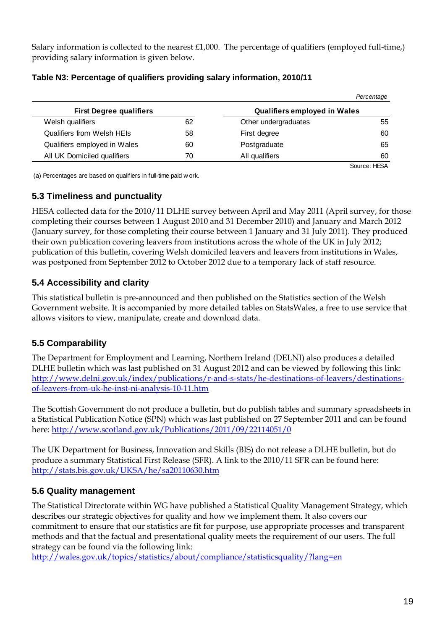Salary information is collected to the nearest  $£1,000$ . The percentage of qualifiers (employed full-time,) providing salary information is given below.

|                                |    |                                     | Percentage   |
|--------------------------------|----|-------------------------------------|--------------|
| <b>First Degree qualifiers</b> |    | <b>Qualifiers employed in Wales</b> |              |
| Welsh qualifiers               | 62 | Other undergraduates                | 55           |
| Qualifiers from Welsh HEIs     | 58 | First degree                        | 60           |
| Qualifiers employed in Wales   | 60 | Postgraduate                        | 65           |
| All UK Domiciled qualifiers    | 70 | All qualifiers                      | 60           |
|                                |    |                                     | Source: HESA |

#### **Table N3: Percentage of qualifiers providing salary information, 2010/11**

(a) Percentages are based on qualifiers in full-time paid w ork.

#### **5.3 Timeliness and punctuality**

HESA collected data for the 2010/11 DLHE survey between April and May 2011 (April survey, for those completing their courses between 1 August 2010 and 31 December 2010) and January and March 2012 (January survey, for those completing their course between 1 January and 31 July 2011). They produced their own publication covering leavers from institutions across the whole of the UK in July 2012; publication of this bulletin, covering Welsh domiciled leavers and leavers from institutions in Wales, was postponed from September 2012 to October 2012 due to a temporary lack of staff resource.

## **5.4 Accessibility and clarity**

This statistical bulletin is pre-announced and then published on the Statistics section of the Welsh Government website. It is accompanied by more detailed tables on StatsWales, a free to use service that allows visitors to view, manipulate, create and download data.

## **5.5 Comparability**

The Department for Employment and Learning, Northern Ireland (DELNI) also produces a detailed DLHE bulletin which was last published on 31 August 2012 and can be viewed by following this link: [http://www.delni.gov.uk/index/publications/r-and-s-stats/he-destinations-of-leavers/destinations](http://www.delni.gov.uk/index/publications/r-and-s-stats/he-destinations-of-leavers/destinations-of-leavers-from-uk-he-inst-ni-analysis-10-11.htm)[of-leavers-from-uk-he-inst-ni-analysis-10-11.htm](http://www.delni.gov.uk/index/publications/r-and-s-stats/he-destinations-of-leavers/destinations-of-leavers-from-uk-he-inst-ni-analysis-10-11.htm)

The Scottish Government do not produce a bulletin, but do publish tables and summary spreadsheets in a Statistical Publication Notice (SPN) which was last published on 27 September 2011 and can be found here:<http://www.scotland.gov.uk/Publications/2011/09/22114051/0>

The UK Department for Business, Innovation and Skills (BIS) do not release a DLHE bulletin, but do produce a summary Statistical First Release (SFR). A link to the 2010/11 SFR can be found here: <http://stats.bis.gov.uk/UKSA/he/sa20110630.htm>

#### **5.6 Quality management**

The Statistical Directorate within WG have published a Statistical Quality Management Strategy, which describes our strategic objectives for quality and how we implement them. It also covers our commitment to ensure that our statistics are fit for purpose, use appropriate processes and transparent methods and that the factual and presentational quality meets the requirement of our users. The full strategy can be found via the following link:

<http://wales.gov.uk/topics/statistics/about/compliance/statisticsquality/?lang=en>